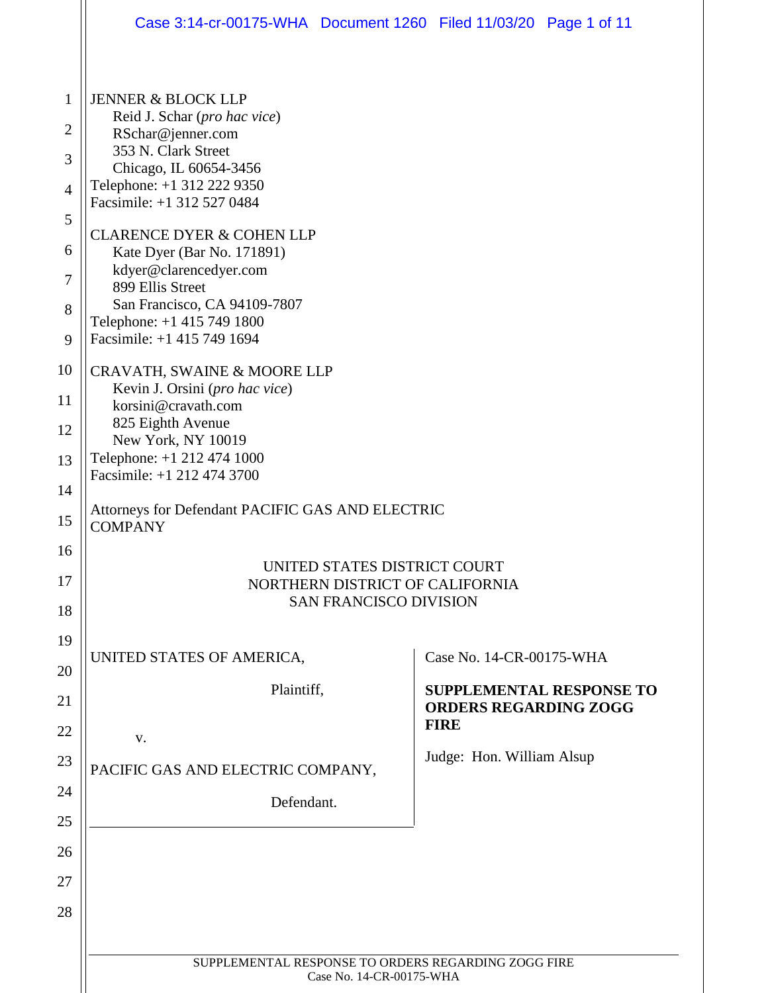|                | Case 3:14-cr-00175-WHA  Document 1260  Filed 11/03/20  Page 1 of 11 |  |                              |                                 |  |  |  |  |
|----------------|---------------------------------------------------------------------|--|------------------------------|---------------------------------|--|--|--|--|
|                |                                                                     |  |                              |                                 |  |  |  |  |
| $\mathbf{1}$   | <b>JENNER &amp; BLOCK LLP</b>                                       |  |                              |                                 |  |  |  |  |
| $\overline{2}$ | Reid J. Schar (pro hac vice)<br>RSchar@jenner.com                   |  |                              |                                 |  |  |  |  |
| 3              | 353 N. Clark Street<br>Chicago, IL 60654-3456                       |  |                              |                                 |  |  |  |  |
| $\overline{4}$ | Telephone: +1 312 222 9350<br>Facsimile: +1 312 527 0484            |  |                              |                                 |  |  |  |  |
| 5              |                                                                     |  |                              |                                 |  |  |  |  |
| 6              | <b>CLARENCE DYER &amp; COHEN LLP</b><br>Kate Dyer (Bar No. 171891)  |  |                              |                                 |  |  |  |  |
| 7              | kdyer@clarencedyer.com<br>899 Ellis Street                          |  |                              |                                 |  |  |  |  |
| 8              | San Francisco, CA 94109-7807<br>Telephone: +1 415 749 1800          |  |                              |                                 |  |  |  |  |
| 9              | Facsimile: +1 415 749 1694                                          |  |                              |                                 |  |  |  |  |
| 10             | CRAVATH, SWAINE & MOORE LLP                                         |  |                              |                                 |  |  |  |  |
| 11             | Kevin J. Orsini (pro hac vice)<br>korsini@cravath.com               |  |                              |                                 |  |  |  |  |
| 12             | 825 Eighth Avenue<br>New York, NY 10019                             |  |                              |                                 |  |  |  |  |
| 13             | Telephone: +1 212 474 1000<br>Facsimile: +1 212 474 3700            |  |                              |                                 |  |  |  |  |
| 14             |                                                                     |  |                              |                                 |  |  |  |  |
| 15             | Attorneys for Defendant PACIFIC GAS AND ELECTRIC<br><b>COMPANY</b>  |  |                              |                                 |  |  |  |  |
| 16             | UNITED STATES DISTRICT COURT                                        |  |                              |                                 |  |  |  |  |
| 17             | NORTHERN DISTRICT OF CALIFORNIA                                     |  |                              |                                 |  |  |  |  |
| 18             | <b>SAN FRANCISCO DIVISION</b>                                       |  |                              |                                 |  |  |  |  |
| 19             | UNITED STATES OF AMERICA,                                           |  | Case No. 14-CR-00175-WHA     |                                 |  |  |  |  |
| 20             | Plaintiff,                                                          |  |                              | <b>SUPPLEMENTAL RESPONSE TO</b> |  |  |  |  |
| 21             |                                                                     |  | <b>ORDERS REGARDING ZOGG</b> |                                 |  |  |  |  |
| 22             | V.                                                                  |  | <b>FIRE</b>                  |                                 |  |  |  |  |
| 23             | PACIFIC GAS AND ELECTRIC COMPANY,                                   |  | Judge: Hon. William Alsup    |                                 |  |  |  |  |
| 24             | Defendant.                                                          |  |                              |                                 |  |  |  |  |
| 25             |                                                                     |  |                              |                                 |  |  |  |  |
| 26             |                                                                     |  |                              |                                 |  |  |  |  |
| 27             |                                                                     |  |                              |                                 |  |  |  |  |
| 28             |                                                                     |  |                              |                                 |  |  |  |  |
|                | SUPPLEMENTAL RESPONSE TO ORDERS REGARDING ZOGG FIRE                 |  |                              |                                 |  |  |  |  |
|                | Case No. 14-CR-00175-WHA                                            |  |                              |                                 |  |  |  |  |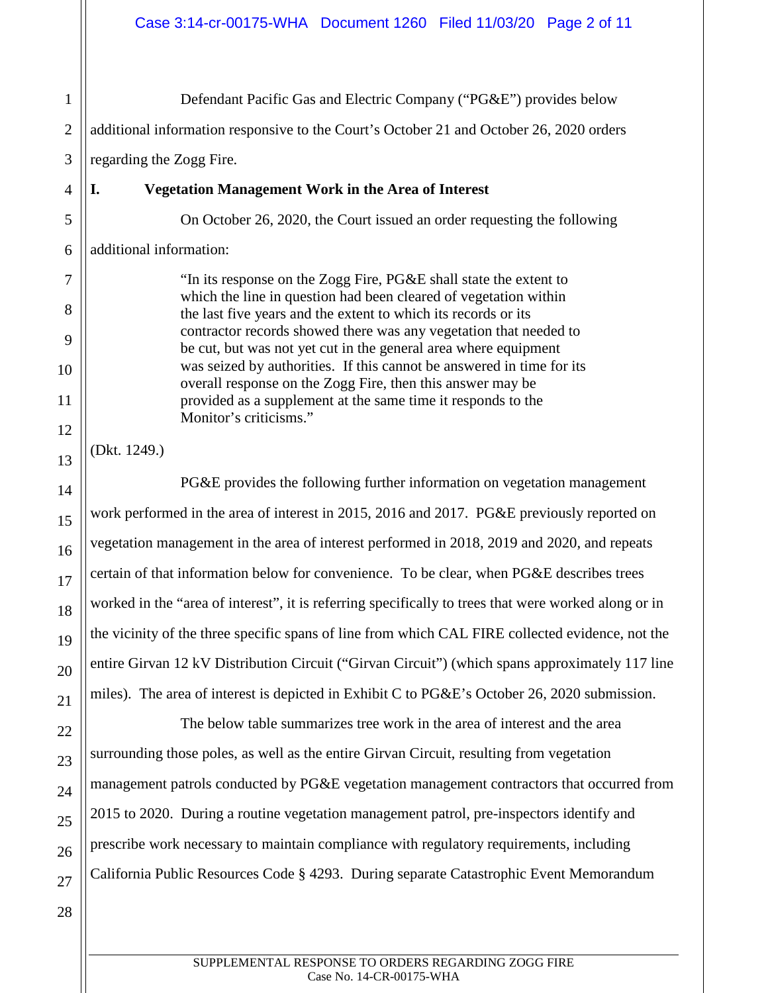1 2 3 4 5 Defendant Pacific Gas and Electric Company ("PG&E") provides below additional information responsive to the Court's October 21 and October 26, 2020 orders regarding the Zogg Fire. **I. Vegetation Management Work in the Area of Interest**  On October 26, 2020, the Court issued an order requesting the following

6 additional information:

7

8

9

10

11

12

13

14

15

16

17

18

19

20

21

22

23

24

25

"In its response on the Zogg Fire, PG&E shall state the extent to which the line in question had been cleared of vegetation within the last five years and the extent to which its records or its contractor records showed there was any vegetation that needed to be cut, but was not yet cut in the general area where equipment was seized by authorities. If this cannot be answered in time for its overall response on the Zogg Fire, then this answer may be provided as a supplement at the same time it responds to the Monitor's criticisms."

(Dkt. 1249.)

PG&E provides the following further information on vegetation management work performed in the area of interest in 2015, 2016 and 2017. PG&E previously reported on vegetation management in the area of interest performed in 2018, 2019 and 2020, and repeats certain of that information below for convenience. To be clear, when PG&E describes trees worked in the "area of interest", it is referring specifically to trees that were worked along or in the vicinity of the three specific spans of line from which CAL FIRE collected evidence, not the entire Girvan 12 kV Distribution Circuit ("Girvan Circuit") (which spans approximately 117 line miles). The area of interest is depicted in Exhibit C to PG&E's October 26, 2020 submission.

The below table summarizes tree work in the area of interest and the area surrounding those poles, as well as the entire Girvan Circuit, resulting from vegetation management patrols conducted by PG&E vegetation management contractors that occurred from 2015 to 2020. During a routine vegetation management patrol, pre-inspectors identify and prescribe work necessary to maintain compliance with regulatory requirements, including California Public Resources Code § 4293. During separate Catastrophic Event Memorandum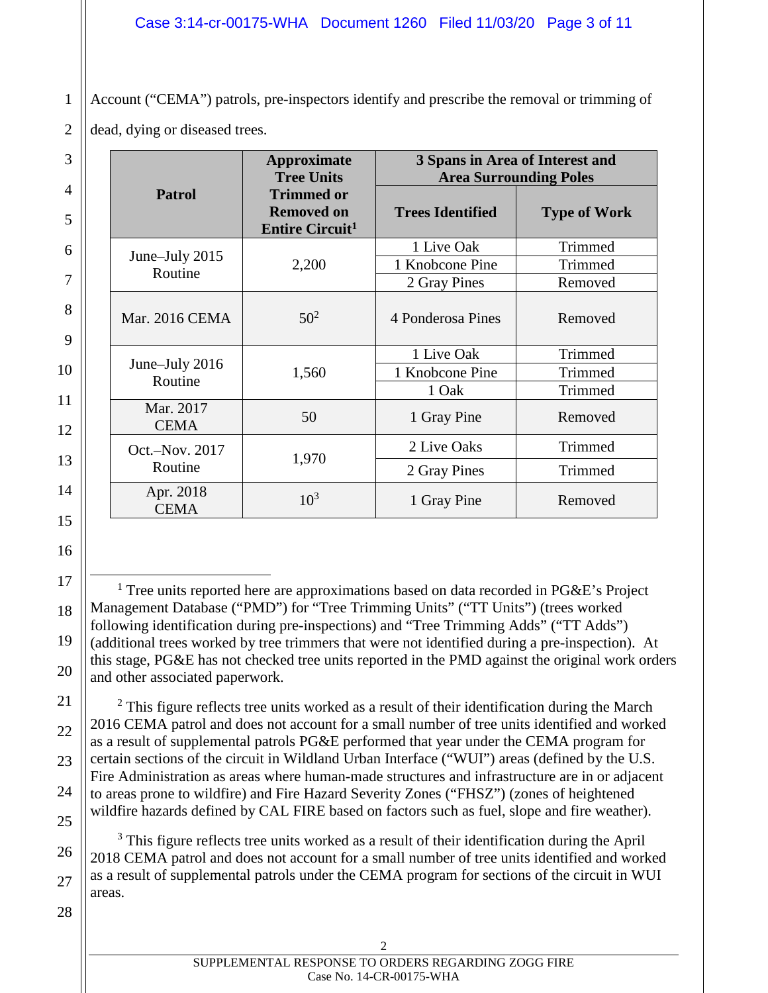2 Account ("CEMA") patrols, pre-inspectors identify and prescribe the removal or trimming of dead, dying or diseased trees.

|                           | <b>Approximate</b><br><b>Tree Units</b><br><b>Trimmed or</b><br><b>Removed on</b><br><b>Entire Circuit<sup>1</sup></b> | 3 Spans in Area of Interest and<br><b>Area Surrounding Poles</b> |                     |  |
|---------------------------|------------------------------------------------------------------------------------------------------------------------|------------------------------------------------------------------|---------------------|--|
| <b>Patrol</b>             |                                                                                                                        | <b>Trees Identified</b>                                          | <b>Type of Work</b> |  |
|                           | 2,200                                                                                                                  | 1 Live Oak                                                       | Trimmed             |  |
| June–July 2015<br>Routine |                                                                                                                        | 1 Knobcone Pine                                                  | Trimmed             |  |
|                           |                                                                                                                        | 2 Gray Pines                                                     | Removed             |  |
| <b>Mar. 2016 CEMA</b>     | $50^{2}$                                                                                                               | 4 Ponderosa Pines                                                | Removed             |  |
|                           | 1,560                                                                                                                  | 1 Live Oak                                                       | Trimmed             |  |
| June-July 2016<br>Routine |                                                                                                                        | 1 Knobcone Pine                                                  | Trimmed             |  |
|                           |                                                                                                                        | 1 Oak                                                            | Trimmed             |  |
| Mar. 2017<br><b>CEMA</b>  | 50                                                                                                                     | 1 Gray Pine                                                      | Removed             |  |
| Oct.-Nov. 2017<br>Routine | 1,970                                                                                                                  | 2 Live Oaks                                                      | Trimmed             |  |
|                           |                                                                                                                        | 2 Gray Pines                                                     | Trimmed             |  |
| Apr. 2018<br><b>CEMA</b>  | $10^3$                                                                                                                 | 1 Gray Pine                                                      | Removed             |  |

18 <sup>1</sup> Tree units reported here are approximations based on data recorded in PG&E's Project Management Database ("PMD") for "Tree Trimming Units" ("TT Units") (trees worked following identification during pre-inspections) and "Tree Trimming Adds" ("TT Adds") (additional trees worked by tree trimmers that were not identified during a pre-inspection). At this stage, PG&E has not checked tree units reported in the PMD against the original work orders and other associated paperwork.

 $2$  This figure reflects tree units worked as a result of their identification during the March 2016 CEMA patrol and does not account for a small number of tree units identified and worked as a result of supplemental patrols PG&E performed that year under the CEMA program for certain sections of the circuit in Wildland Urban Interface ("WUI") areas (defined by the U.S. Fire Administration as areas where human-made structures and infrastructure are in or adjacent to areas prone to wildfire) and Fire Hazard Severity Zones ("FHSZ") (zones of heightened wildfire hazards defined by CAL FIRE based on factors such as fuel, slope and fire weather).

 $3$  This figure reflects tree units worked as a result of their identification during the April 2018 CEMA patrol and does not account for a small number of tree units identified and worked as a result of supplemental patrols under the CEMA program for sections of the circuit in WUI areas.

28

1

3

4

5

6

7

8

9

10

11

12

13

14

15

16

17

19

20

21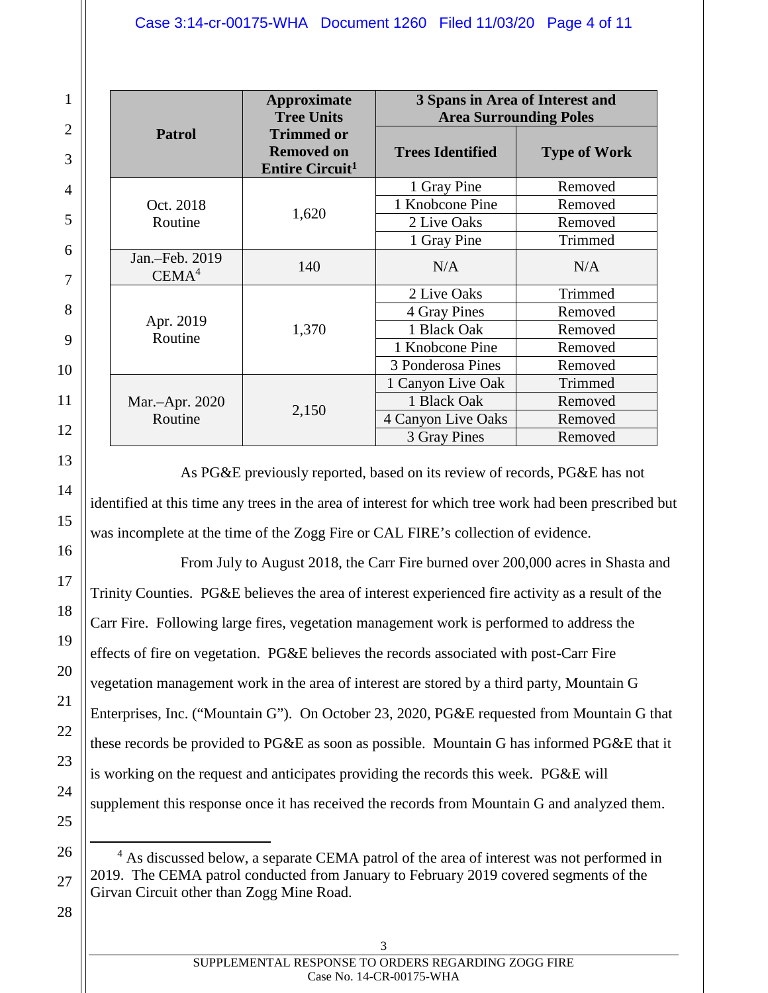|                                     | <b>Approximate</b><br><b>Tree Units</b>                                     | 3 Spans in Area of Interest and<br><b>Area Surrounding Poles</b> |                     |  |
|-------------------------------------|-----------------------------------------------------------------------------|------------------------------------------------------------------|---------------------|--|
| <b>Patrol</b>                       | <b>Trimmed or</b><br><b>Removed on</b><br><b>Entire Circuit<sup>1</sup></b> | <b>Trees Identified</b>                                          | <b>Type of Work</b> |  |
|                                     | 1,620                                                                       | 1 Gray Pine                                                      | Removed             |  |
| Oct. 2018                           |                                                                             | 1 Knobcone Pine                                                  | Removed             |  |
| Routine                             |                                                                             | 2 Live Oaks                                                      | Removed             |  |
|                                     |                                                                             | 1 Gray Pine                                                      | Trimmed             |  |
| Jan.-Feb. 2019<br>CEMA <sup>4</sup> | 140                                                                         | N/A                                                              | N/A                 |  |
|                                     | 1,370                                                                       | 2 Live Oaks                                                      | Trimmed             |  |
|                                     |                                                                             | 4 Gray Pines                                                     | Removed             |  |
| Apr. 2019<br>Routine                |                                                                             | 1 Black Oak                                                      | Removed             |  |
|                                     |                                                                             | 1 Knobcone Pine                                                  | Removed             |  |
|                                     |                                                                             | 3 Ponderosa Pines                                                | Removed             |  |
|                                     | 2,150                                                                       | 1 Canyon Live Oak                                                | Trimmed             |  |
| Mar.-Apr. 2020                      |                                                                             | 1 Black Oak                                                      | Removed             |  |
| Routine                             |                                                                             | 4 Canyon Live Oaks                                               | Removed             |  |
|                                     |                                                                             | 3 Gray Pines                                                     | Removed             |  |

As PG&E previously reported, based on its review of records, PG&E has not identified at this time any trees in the area of interest for which tree work had been prescribed but was incomplete at the time of the Zogg Fire or CAL FIRE's collection of evidence.

From July to August 2018, the Carr Fire burned over 200,000 acres in Shasta and Trinity Counties. PG&E believes the area of interest experienced fire activity as a result of the Carr Fire. Following large fires, vegetation management work is performed to address the effects of fire on vegetation. PG&E believes the records associated with post-Carr Fire vegetation management work in the area of interest are stored by a third party, Mountain G Enterprises, Inc. ("Mountain G"). On October 23, 2020, PG&E requested from Mountain G that these records be provided to PG&E as soon as possible. Mountain G has informed PG&E that it is working on the request and anticipates providing the records this week. PG&E will supplement this response once it has received the records from Mountain G and analyzed them.

<sup>4</sup> As discussed below, a separate CEMA patrol of the area of interest was not performed in 2019. The CEMA patrol conducted from January to February 2019 covered segments of the Girvan Circuit other than Zogg Mine Road.

3

28

1

2

3

4

5

6

7

8

9

10

11

12

13

14

15

16

17

18

19

20

21

22

23

24

25

26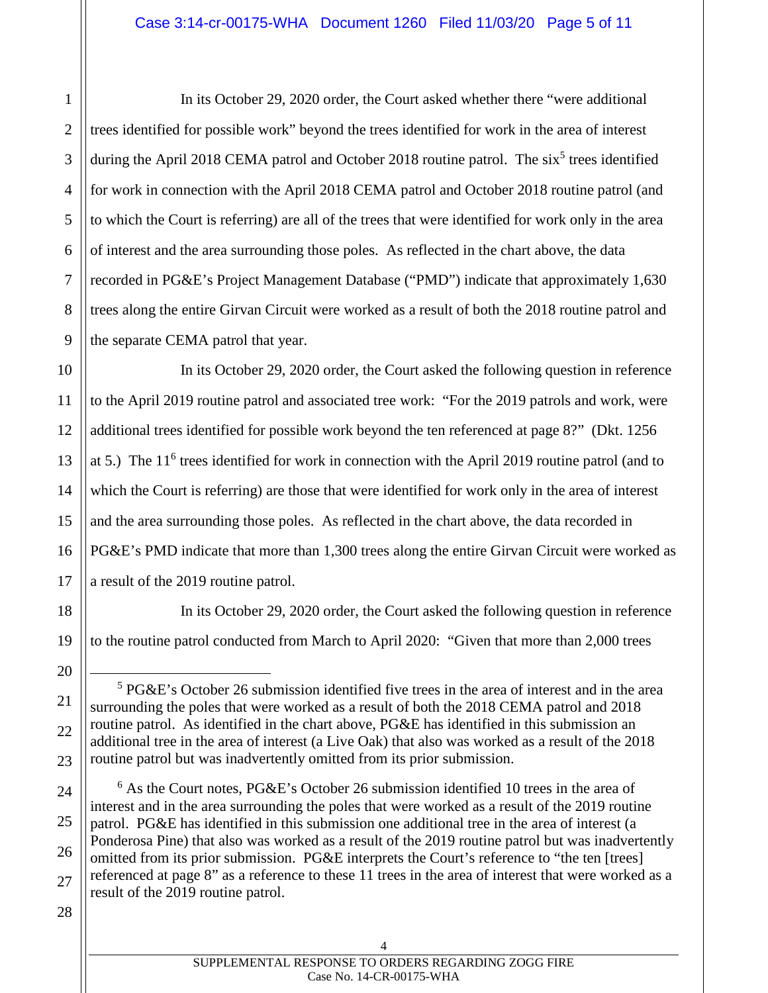1 2 3 4 5 6 7 8 9 In its October 29, 2020 order, the Court asked whether there "were additional trees identified for possible work" beyond the trees identified for work in the area of interest during the April 2018 CEMA patrol and October 2018 routine patrol. The  $six<sup>5</sup>$  trees identified for work in connection with the April 2018 CEMA patrol and October 2018 routine patrol (and to which the Court is referring) are all of the trees that were identified for work only in the area of interest and the area surrounding those poles. As reflected in the chart above, the data recorded in PG&E's Project Management Database ("PMD") indicate that approximately 1,630 trees along the entire Girvan Circuit were worked as a result of both the 2018 routine patrol and the separate CEMA patrol that year.

In its October 29, 2020 order, the Court asked the following question in reference to the April 2019 routine patrol and associated tree work: "For the 2019 patrols and work, were additional trees identified for possible work beyond the ten referenced at page 8?" (Dkt. 1256 at 5.) The 11<sup>6</sup> trees identified for work in connection with the April 2019 routine patrol (and to which the Court is referring) are those that were identified for work only in the area of interest and the area surrounding those poles. As reflected in the chart above, the data recorded in PG&E's PMD indicate that more than 1,300 trees along the entire Girvan Circuit were worked as a result of the 2019 routine patrol.

In its October 29, 2020 order, the Court asked the following question in reference to the routine patrol conducted from March to April 2020: "Given that more than 2,000 trees

<sup>6</sup> As the Court notes, PG&E's October 26 submission identified 10 trees in the area of interest and in the area surrounding the poles that were worked as a result of the 2019 routine patrol. PG&E has identified in this submission one additional tree in the area of interest (a Ponderosa Pine) that also was worked as a result of the 2019 routine patrol but was inadvertently omitted from its prior submission. PG&E interprets the Court's reference to "the ten [trees] referenced at page 8" as a reference to these 11 trees in the area of interest that were worked as a result of the 2019 routine patrol.

28

10

11

12

13

14

15

16

17

18

19

20

21

22

23

24

25

26

<sup>5</sup> PG&E's October 26 submission identified five trees in the area of interest and in the area surrounding the poles that were worked as a result of both the 2018 CEMA patrol and 2018 routine patrol. As identified in the chart above, PG&E has identified in this submission an additional tree in the area of interest (a Live Oak) that also was worked as a result of the 2018 routine patrol but was inadvertently omitted from its prior submission.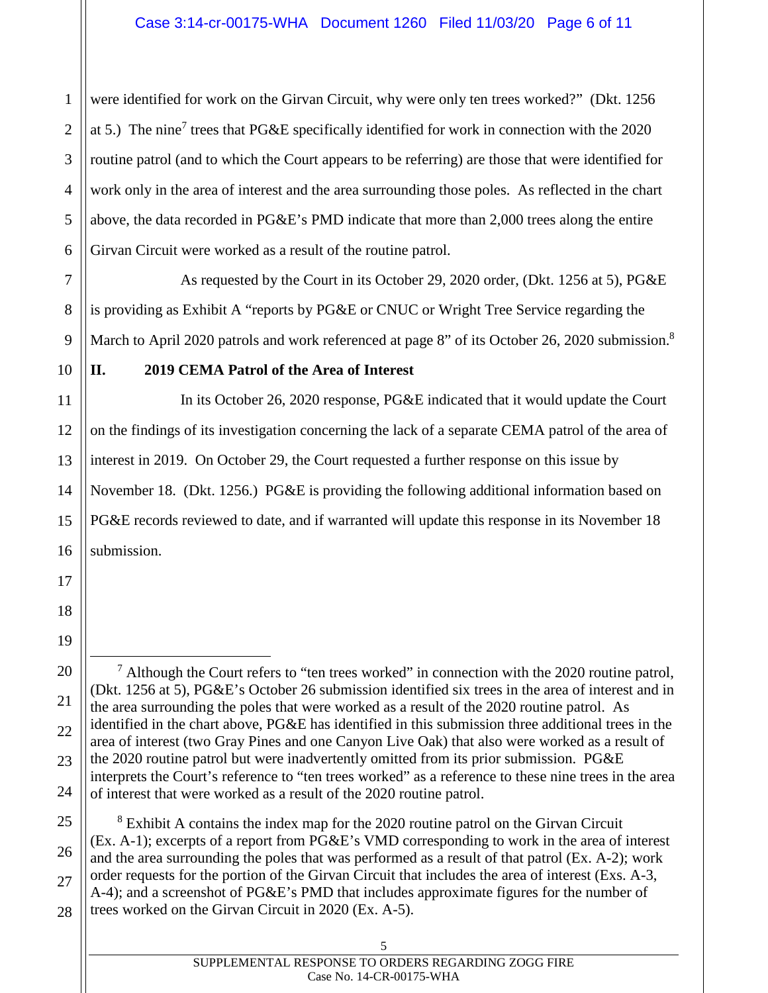2 3 4 5 6 were identified for work on the Girvan Circuit, why were only ten trees worked?" (Dkt. 1256 at 5.) The nine<sup>7</sup> trees that PG&E specifically identified for work in connection with the 2020 routine patrol (and to which the Court appears to be referring) are those that were identified for work only in the area of interest and the area surrounding those poles. As reflected in the chart above, the data recorded in PG&E's PMD indicate that more than 2,000 trees along the entire Girvan Circuit were worked as a result of the routine patrol.

As requested by the Court in its October 29, 2020 order, (Dkt. 1256 at 5), PG&E is providing as Exhibit A "reports by PG&E or CNUC or Wright Tree Service regarding the March to April 2020 patrols and work referenced at page 8" of its October 26, 2020 submission.<sup>8</sup>

10

7

8

9

11

12

13

14

15

16

17

18

19

1

## **II. 2019 CEMA Patrol of the Area of Interest**

In its October 26, 2020 response, PG&E indicated that it would update the Court on the findings of its investigation concerning the lack of a separate CEMA patrol of the area of interest in 2019. On October 29, the Court requested a further response on this issue by November 18. (Dkt. 1256.) PG&E is providing the following additional information based on PG&E records reviewed to date, and if warranted will update this response in its November 18 submission.

20 21 22 23 24  $<sup>7</sup>$  Although the Court refers to "ten trees worked" in connection with the 2020 routine patrol,</sup> (Dkt. 1256 at 5), PG&E's October 26 submission identified six trees in the area of interest and in the area surrounding the poles that were worked as a result of the 2020 routine patrol. As identified in the chart above, PG&E has identified in this submission three additional trees in the area of interest (two Gray Pines and one Canyon Live Oak) that also were worked as a result of the 2020 routine patrol but were inadvertently omitted from its prior submission. PG&E interprets the Court's reference to "ten trees worked" as a reference to these nine trees in the area of interest that were worked as a result of the 2020 routine patrol.

25 26 27 28 <sup>8</sup> Exhibit A contains the index map for the 2020 routine patrol on the Girvan Circuit (Ex. A-1); excerpts of a report from PG&E's VMD corresponding to work in the area of interest and the area surrounding the poles that was performed as a result of that patrol (Ex. A-2); work order requests for the portion of the Girvan Circuit that includes the area of interest (Exs. A-3, A-4); and a screenshot of PG&E's PMD that includes approximate figures for the number of trees worked on the Girvan Circuit in 2020 (Ex. A-5).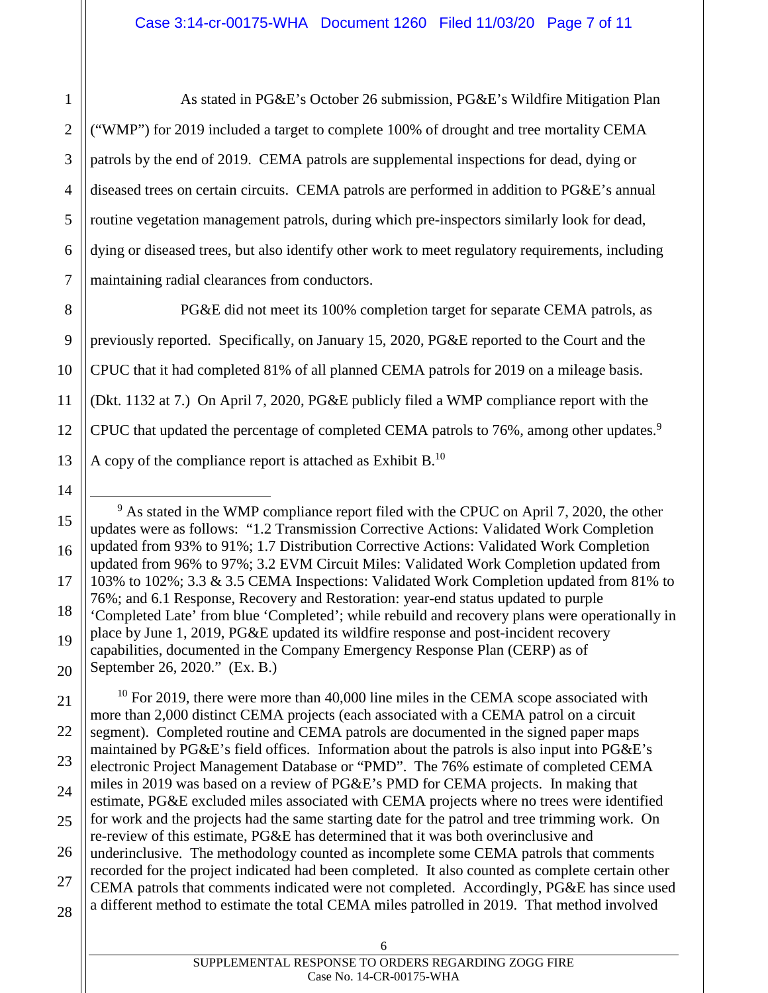1 2 As stated in PG&E's October 26 submission, PG&E's Wildfire Mitigation Plan ("WMP") for 2019 included a target to complete 100% of drought and tree mortality CEMA patrols by the end of 2019. CEMA patrols are supplemental inspections for dead, dying or diseased trees on certain circuits. CEMA patrols are performed in addition to PG&E's annual routine vegetation management patrols, during which pre-inspectors similarly look for dead, dying or diseased trees, but also identify other work to meet regulatory requirements, including maintaining radial clearances from conductors.

11 12 13 PG&E did not meet its 100% completion target for separate CEMA patrols, as previously reported. Specifically, on January 15, 2020, PG&E reported to the Court and the CPUC that it had completed 81% of all planned CEMA patrols for 2019 on a mileage basis. (Dkt. 1132 at 7.) On April 7, 2020, PG&E publicly filed a WMP compliance report with the CPUC that updated the percentage of completed CEMA patrols to 76%, among other updates.<sup>9</sup> A copy of the compliance report is attached as Exhibit  $B<sup>10</sup>$ .

21 22 23 24 25 26 27 28  $10$  For 2019, there were more than 40,000 line miles in the CEMA scope associated with more than 2,000 distinct CEMA projects (each associated with a CEMA patrol on a circuit segment). Completed routine and CEMA patrols are documented in the signed paper maps maintained by PG&E's field offices. Information about the patrols is also input into PG&E's electronic Project Management Database or "PMD". The 76% estimate of completed CEMA miles in 2019 was based on a review of PG&E's PMD for CEMA projects. In making that estimate, PG&E excluded miles associated with CEMA projects where no trees were identified for work and the projects had the same starting date for the patrol and tree trimming work. On re-review of this estimate, PG&E has determined that it was both overinclusive and underinclusive. The methodology counted as incomplete some CEMA patrols that comments recorded for the project indicated had been completed. It also counted as complete certain other CEMA patrols that comments indicated were not completed. Accordingly, PG&E has since used a different method to estimate the total CEMA miles patrolled in 2019. That method involved

14

<sup>15</sup> 16 17 18 19 20 <sup>9</sup> As stated in the WMP compliance report filed with the CPUC on April 7, 2020, the other updates were as follows: "1.2 Transmission Corrective Actions: Validated Work Completion updated from 93% to 91%; 1.7 Distribution Corrective Actions: Validated Work Completion updated from 96% to 97%; 3.2 EVM Circuit Miles: Validated Work Completion updated from 103% to 102%; 3.3 & 3.5 CEMA Inspections: Validated Work Completion updated from 81% to 76%; and 6.1 Response, Recovery and Restoration: year-end status updated to purple 'Completed Late' from blue 'Completed'; while rebuild and recovery plans were operationally in place by June 1, 2019, PG&E updated its wildfire response and post-incident recovery capabilities, documented in the Company Emergency Response Plan (CERP) as of September 26, 2020." (Ex. B.)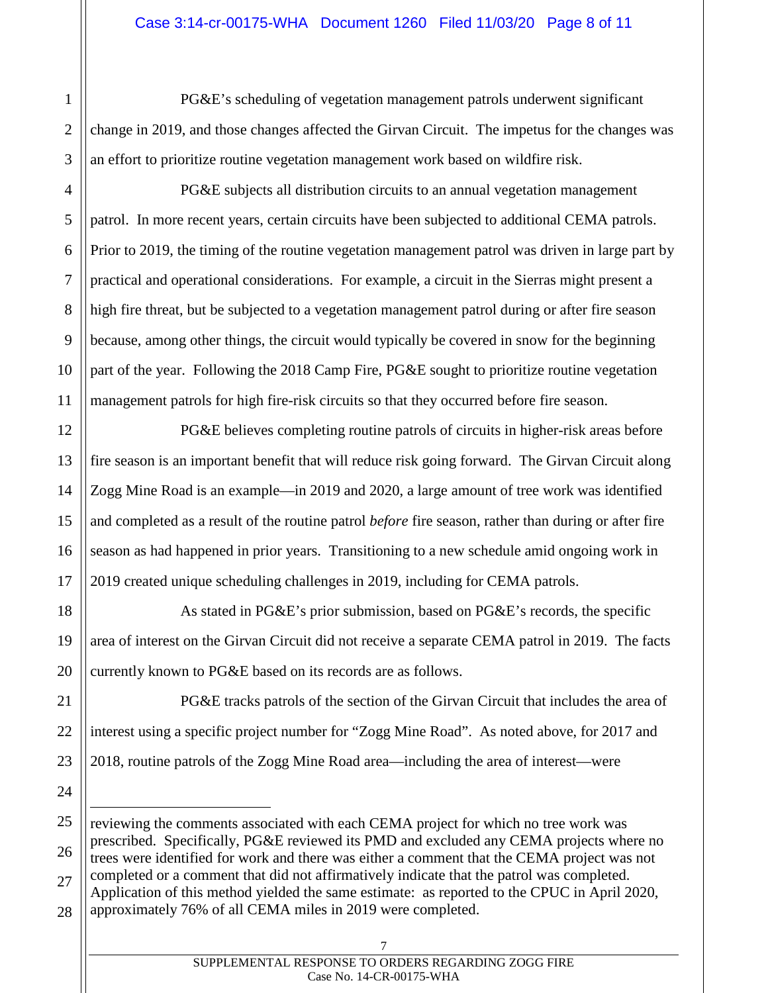PG&E's scheduling of vegetation management patrols underwent significant change in 2019, and those changes affected the Girvan Circuit. The impetus for the changes was an effort to prioritize routine vegetation management work based on wildfire risk.

1

2

3

4

5

6

7

8

9

10

11

12

13

15

16

17

18

19

20

21

24

PG&E subjects all distribution circuits to an annual vegetation management patrol. In more recent years, certain circuits have been subjected to additional CEMA patrols. Prior to 2019, the timing of the routine vegetation management patrol was driven in large part by practical and operational considerations. For example, a circuit in the Sierras might present a high fire threat, but be subjected to a vegetation management patrol during or after fire season because, among other things, the circuit would typically be covered in snow for the beginning part of the year. Following the 2018 Camp Fire, PG&E sought to prioritize routine vegetation management patrols for high fire-risk circuits so that they occurred before fire season.

14 PG&E believes completing routine patrols of circuits in higher-risk areas before fire season is an important benefit that will reduce risk going forward. The Girvan Circuit along Zogg Mine Road is an example—in 2019 and 2020, a large amount of tree work was identified and completed as a result of the routine patrol *before* fire season, rather than during or after fire season as had happened in prior years. Transitioning to a new schedule amid ongoing work in 2019 created unique scheduling challenges in 2019, including for CEMA patrols.

As stated in PG&E's prior submission, based on PG&E's records, the specific area of interest on the Girvan Circuit did not receive a separate CEMA patrol in 2019. The facts currently known to PG&E based on its records are as follows.

22 23 PG&E tracks patrols of the section of the Girvan Circuit that includes the area of interest using a specific project number for "Zogg Mine Road". As noted above, for 2017 and 2018, routine patrols of the Zogg Mine Road area—including the area of interest—were

<sup>25</sup> 26 27 28 reviewing the comments associated with each CEMA project for which no tree work was prescribed. Specifically, PG&E reviewed its PMD and excluded any CEMA projects where no trees were identified for work and there was either a comment that the CEMA project was not completed or a comment that did not affirmatively indicate that the patrol was completed. Application of this method yielded the same estimate: as reported to the CPUC in April 2020, approximately 76% of all CEMA miles in 2019 were completed.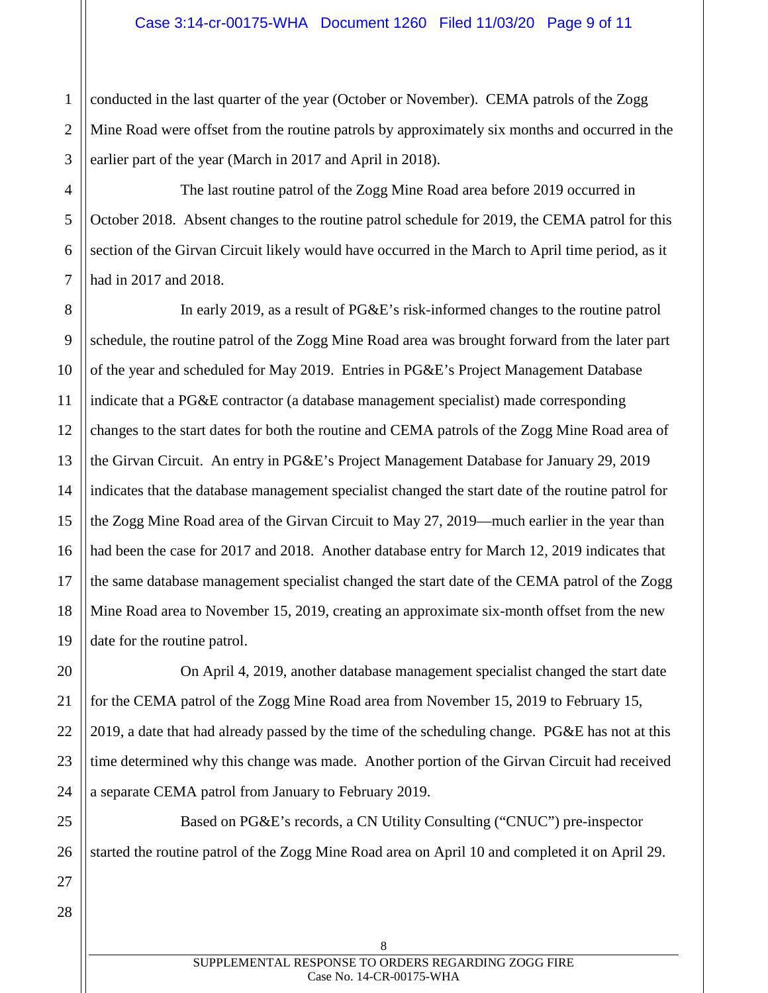1 2 3 conducted in the last quarter of the year (October or November). CEMA patrols of the Zogg Mine Road were offset from the routine patrols by approximately six months and occurred in the earlier part of the year (March in 2017 and April in 2018).

6 The last routine patrol of the Zogg Mine Road area before 2019 occurred in October 2018. Absent changes to the routine patrol schedule for 2019, the CEMA patrol for this section of the Girvan Circuit likely would have occurred in the March to April time period, as it had in 2017 and 2018.

In early 2019, as a result of PG&E's risk-informed changes to the routine patrol schedule, the routine patrol of the Zogg Mine Road area was brought forward from the later part of the year and scheduled for May 2019. Entries in PG&E's Project Management Database indicate that a PG&E contractor (a database management specialist) made corresponding changes to the start dates for both the routine and CEMA patrols of the Zogg Mine Road area of the Girvan Circuit. An entry in PG&E's Project Management Database for January 29, 2019 indicates that the database management specialist changed the start date of the routine patrol for the Zogg Mine Road area of the Girvan Circuit to May 27, 2019—much earlier in the year than had been the case for 2017 and 2018. Another database entry for March 12, 2019 indicates that the same database management specialist changed the start date of the CEMA patrol of the Zogg Mine Road area to November 15, 2019, creating an approximate six-month offset from the new date for the routine patrol.

On April 4, 2019, another database management specialist changed the start date for the CEMA patrol of the Zogg Mine Road area from November 15, 2019 to February 15, 2019, a date that had already passed by the time of the scheduling change. PG&E has not at this time determined why this change was made. Another portion of the Girvan Circuit had received a separate CEMA patrol from January to February 2019.

Based on PG&E's records, a CN Utility Consulting ("CNUC") pre-inspector started the routine patrol of the Zogg Mine Road area on April 10 and completed it on April 29.

4

5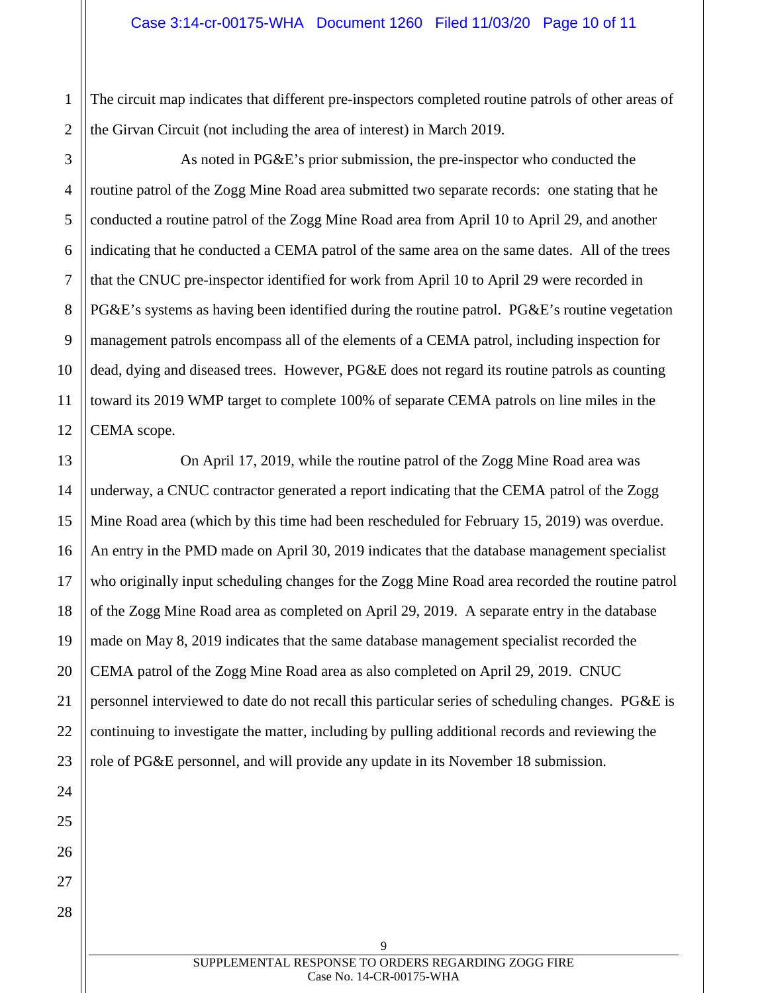2 The circuit map indicates that different pre-inspectors completed routine patrols of other areas of the Girvan Circuit (not including the area of interest) in March 2019.

3 4 5 6 7 8 9 10 12 As noted in PG&E's prior submission, the pre-inspector who conducted the routine patrol of the Zogg Mine Road area submitted two separate records: one stating that he conducted a routine patrol of the Zogg Mine Road area from April 10 to April 29, and another indicating that he conducted a CEMA patrol of the same area on the same dates. All of the trees that the CNUC pre-inspector identified for work from April 10 to April 29 were recorded in PG&E's systems as having been identified during the routine patrol. PG&E's routine vegetation management patrols encompass all of the elements of a CEMA patrol, including inspection for dead, dying and diseased trees. However, PG&E does not regard its routine patrols as counting toward its 2019 WMP target to complete 100% of separate CEMA patrols on line miles in the CEMA scope.

14 15 16 17 18 20 On April 17, 2019, while the routine patrol of the Zogg Mine Road area was underway, a CNUC contractor generated a report indicating that the CEMA patrol of the Zogg Mine Road area (which by this time had been rescheduled for February 15, 2019) was overdue. An entry in the PMD made on April 30, 2019 indicates that the database management specialist who originally input scheduling changes for the Zogg Mine Road area recorded the routine patrol of the Zogg Mine Road area as completed on April 29, 2019. A separate entry in the database made on May 8, 2019 indicates that the same database management specialist recorded the CEMA patrol of the Zogg Mine Road area as also completed on April 29, 2019. CNUC personnel interviewed to date do not recall this particular series of scheduling changes. PG&E is continuing to investigate the matter, including by pulling additional records and reviewing the role of PG&E personnel, and will provide any update in its November 18 submission.

1

11

13

19

SUPPLEMENTAL RESPONSE TO ORDERS REGARDING ZOGG FIRE Case No. 14-CR-00175-WHA